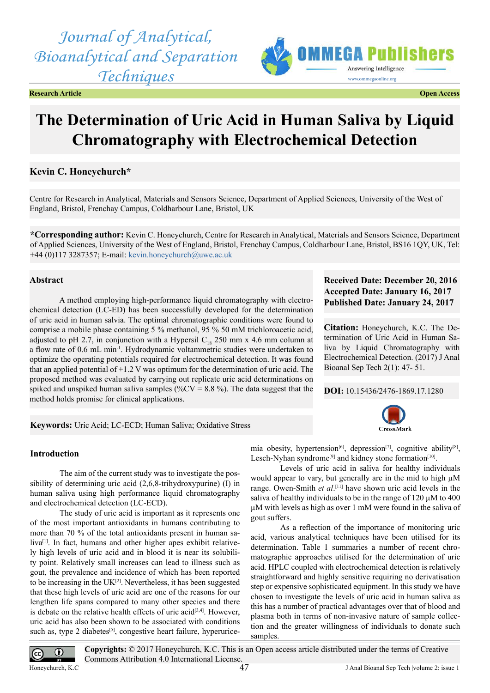*Journal of Analytical, Bioanalytical and Separation Techniques*

**Research Article Open Access**



# **The Determination of Uric Acid in Human Saliva by Liquid Chromatography with Electrochemical Detection**

# **Kevin C. Honeychurch\***

Centre for Research in Analytical, Materials and Sensors Science, Department of Applied Sciences, University of the West of England, Bristol, Frenchay Campus, Coldharbour Lane, Bristol, UK

**\*Corresponding author:** Kevin C. Honeychurch, Centre for Research in Analytical, Materials and Sensors Science, Department of Applied Sciences, University of the West of England, Bristol, Frenchay Campus, Coldharbour Lane, Bristol, BS16 1QY, UK, Tel: +44 (0)117 3287357; E-mail: [kevin.honeychurch@uwe.ac.uk](mailto:kevin.honeychurch@uwe.ac.uk)

# **Abstract**

A method employing high-performance liquid chromatography with electrochemical detection (LC-ED) has been successfully developed for the determination of uric acid in human salvia. The optimal chromatographic conditions were found to comprise a mobile phase containing 5 % methanol, 95 % 50 mM trichloroacetic acid, adjusted to pH 2.7, in conjunction with a Hypersil  $C_{18}$  250 mm x 4.6 mm column at a flow rate of 0.6 mL min-1. Hydrodynamic voltammetric studies were undertaken to optimize the operating potentials required for electrochemical detection. It was found that an applied potential of  $+1.2$  V was optimum for the determination of uric acid. The proposed method was evaluated by carrying out replicate uric acid determinations on spiked and unspiked human saliva samples (% $CV = 8.8$ %). The data suggest that the method holds promise for clinical applications.

# **Received Date: December 20, 2016 Accepted Date: January 16, 2017 Published Date: January 24, 2017**

**Citation:** Honeychurch, K.C. The Determination of Uric Acid in Human Saliva by Liquid Chromatography with Electrochemical Detection. (2017) J Anal Bioanal Sep Tech 2(1): 47- 51.

**DOI:** [10.15436/2476-1869.17.1](https://doi.org/10.15436/2476-1869-17-1280)280

CrossMark

**Keywords:** Uric Acid; LC-ECD; Human Saliva; Oxidative Stress

# **Introduction**

The aim of the current study was to investigate the possibility of determining uric acid (2,6,8-trihydroxypurine) (I) in human saliva using high performance liquid chromatography and electrochemical detection (LC-ECD).

The study of uric acid is important as it represents one of the most important antioxidants in humans contributing to more than 70 % of the total antioxidants present in human saliva<sup>[1]</sup>. In fact, humans and other higher apes exhibit relatively high levels of uric acid and in blood it is near its solubility point. Relatively small increases can lead to illness such as gout, the prevalence and incidence of which has been reported to be increasing in the  $UK^{[2]}$ . Nevertheless, it has been suggested that these high levels of uric acid are one of the reasons for our lengthen life spans compared to many other species and there is debate on the relative health effects of uric acid<sup>[3,4]</sup>. However, uric acid has also been shown to be associated with conditions such as, type 2 diabetes<sup>[5]</sup>, congestive heart failure, hyperurice-

mia obesity, hypertension<sup>[\[6\]](#page-4-4)</sup>, depression<sup>[7]</sup>, cognitive ability<sup>[8]</sup>, Lesch-Nyhan syndrome<sup>[9]</sup> and kidney stone formation<sup>[10]</sup>.

Levels of uric acid in saliva for healthy individuals would appear to vary, but generally are in the mid to high  $\mu$ M range. Owen-Smith *et al*.<sup>[11]</sup> have shown uric acid levels in the saliva of healthy individuals to be in the range of  $120 \mu M$  to  $400$ µM with levels as high as over 1 mM were found in the saliva of gout suffers.

As a reflection of the importance of monitoring uric acid, various analytical techniques have been utilised for its determination. Table 1 summaries a number of recent chromatographic approaches utilised for the determination of uric acid. HPLC coupled with electrochemical detection is relatively straightforward and highly sensitive requiring no derivatisation step or expensive sophisticated equipment. In this study we have chosen to investigate the levels of uric acid in human saliva as this has a number of practical advantages over that of blood and plasma both in terms of non-invasive nature of sample collection and the greater willingness of individuals to donate such samples.

**Copyrights:** © 2017 Honeychurch, K.C. This is an Open access article distributed under the terms of Creative  $\odot$  $\left(\mathrm{cc}\right)$ Commons Attribution 4.0 International License. Honeychurch, K.C Superson Contains the Separation of the Separation of the Separation of the Separation of the Separation of the Separation of the Separation of the Separation of the Separation of the Separation of the Sep 47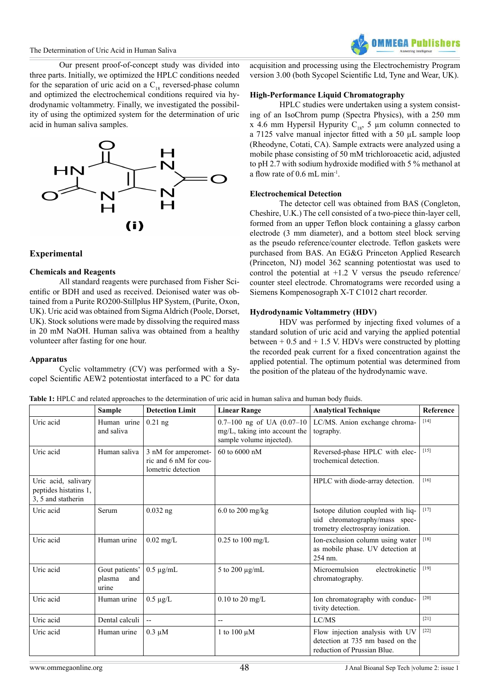Our present proof-of-concept study was divided into three parts. Initially, we optimized the HPLC conditions needed for the separation of uric acid on a  $C_{18}$  reversed-phase column and optimized the electrochemical conditions required via hydrodynamic voltammetry. Finally, we investigated the possibility of using the optimized system for the determination of uric acid in human saliva samples.



# **Experimental**

## **Chemicals and Reagents**

All standard reagents were purchased from Fisher Scientific or BDH and used as received. Deionised water was obtained from a Purite RO200-Stillplus HP System, (Purite, Oxon, UK). Uric acid was obtained from Sigma Aldrich (Poole, Dorset, UK). Stock solutions were made by dissolving the required mass in 20 mM NaOH. Human saliva was obtained from a healthy volunteer after fasting for one hour.

## **Apparatus**

Cyclic voltammetry (CV) was performed with a Sycopel Scientific AEW2 potentiostat interfaced to a PC for data acquisition and processing using the Electrochemistry Program version 3.00 (both Sycopel Scientific Ltd, Tyne and Wear, UK).

# **High-Performance Liquid Chromatography**

HPLC studies were undertaken using a system consisting of an IsoChrom pump (Spectra Physics), with a 250 mm x 4.6 mm Hypersil Hypurity  $C_{18}$ , 5 µm column connected to a 7125 valve manual injector fitted with a 50 µL sample loop (Rheodyne, Cotati, CA). Sample extracts were analyzed using a mobile phase consisting of 50 mM trichloroacetic acid, adjusted to pH 2.7 with sodium hydroxide modified with 5 % methanol at a flow rate of 0.6 mL min-1.

# **Electrochemical Detection**

The detector cell was obtained from BAS (Congleton, Cheshire, U.K.) The cell consisted of a two-piece thin-layer cell, formed from an upper Teflon block containing a glassy carbon electrode (3 mm diameter), and a bottom steel block serving as the pseudo reference/counter electrode. Teflon gaskets were purchased from BAS. An EG&G Princeton Applied Research (Princeton, NJ) model 362 scanning potentiostat was used to control the potential at  $+1.2$  V versus the pseudo reference counter steel electrode. Chromatograms were recorded using a Siemens Kompenosograph X-T C1012 chart recorder.

# **Hydrodynamic Voltammetry (HDV)**

HDV was performed by injecting fixed volumes of a standard solution of uric acid and varying the applied potential between  $+ 0.5$  and  $+ 1.5$  V. HDVs were constructed by plotting the recorded peak current for a fixed concentration against the applied potential. The optimum potential was determined from the position of the plateau of the hydrodynamic wave.

|                                                                    | Sample                                   | <b>Detection Limit</b>                                             | <b>Linear Range</b>                                                                       | <b>Analytical Technique</b>                                                                              | Reference |
|--------------------------------------------------------------------|------------------------------------------|--------------------------------------------------------------------|-------------------------------------------------------------------------------------------|----------------------------------------------------------------------------------------------------------|-----------|
| Uric acid                                                          | Human urine<br>and saliva                | $0.21$ ng                                                          | 0.7-100 ng of UA $(0.07-10)$<br>mg/L, taking into account the<br>sample volume injected). | LC/MS. Anion exchange chroma-<br>tography.                                                               | $[14]$    |
| Uric acid                                                          | Human saliva                             | 3 nM for amperomet-<br>ric and 6 nM for cou-<br>lometric detection | 60 to 6000 nM                                                                             | Reversed-phase HPLC with elec-<br>trochemical detection.                                                 | $[15]$    |
| Uric acid, salivary<br>peptides histatins 1,<br>3, 5 and statherin |                                          |                                                                    |                                                                                           | HPLC with diode-array detection.                                                                         | $[16]$    |
| Uric acid                                                          | Serum                                    | $0.032$ ng                                                         | $6.0$ to 200 mg/kg                                                                        | Isotope dilution coupled with liq-<br>uid chromatography/mass spec-<br>trometry electrospray ionization. | $[17]$    |
| Uric acid                                                          | Human urine                              | $0.02$ mg/L                                                        | $0.25$ to $100$ mg/L                                                                      | Ion-exclusion column using water<br>as mobile phase. UV detection at<br>254 nm.                          | $[18]$    |
| Uric acid                                                          | Gout patients'<br>plasma<br>and<br>urine | $0.5 \mu$ g/mL                                                     | 5 to 200 $\mu$ g/mL                                                                       | Microemulsion<br>electrokinetic<br>chromatography.                                                       | $[19]$    |
| Uric acid                                                          | Human urine                              | $0.5 \mu g/L$                                                      | $0.10$ to 20 mg/L                                                                         | Ion chromatography with conduc-<br>tivity detection.                                                     | $[20]$    |
| Uric acid                                                          | Dental calculi                           | $\overline{\phantom{a}}$                                           | $- -$                                                                                     | LC/MS                                                                                                    | $[21]$    |
| Uric acid                                                          | Human urine                              | $0.3 \mu M$                                                        | 1 to 100 $\mu$ M                                                                          | Flow injection analysis with UV<br>detection at 735 nm based on the<br>reduction of Prussian Blue.       | $[22]$    |

**Table 1:** HPLC and related approaches to the determination of uric acid in human saliva and human body fluids.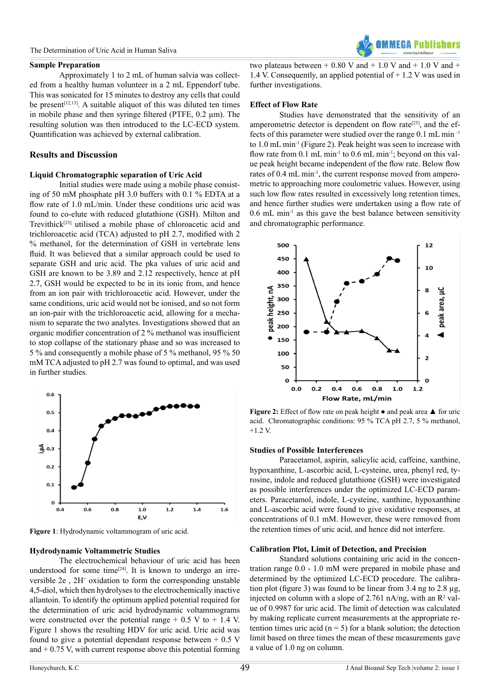#### The Determination of Uric Acid in Human Saliva

#### **Sample Preparation**

Approximately 1 to 2 mL of human salvia was collected from a healthy human volunteer in a 2 mL Eppendorf tube. This was sonicated for 15 minutes to destroy any cells that could be present<sup>[12,13]</sup>. A suitable aliquot of this was diluted ten times in mobile phase and then syringe filtered (PTFE, 0.2 µm). The resulting solution was then introduced to the LC-ECD system. Quantification was achieved by external calibration.

## **Results and Discussion**

#### **Liquid Chromatographic separation of Uric Acid**

Initial studies were made using a mobile phase consisting of 50 mM phosphate pH 3.0 buffers with 0.1 % EDTA at a flow rate of 1.0 mL/min. Under these conditions uric acid was found to co-elute with reduced glutathione (GSH). Milton and Trevithic[k\[23\]](#page-4-20) utilised a mobile phase of chloroacetic acid and trichloroacetic acid (TCA) adjusted to pH 2.7, modified with 2 % methanol, for the determination of GSH in vertebrate lens fluid. It was believed that a similar approach could be used to separate GSH and uric acid. The pka values of uric acid and GSH are known to be 3.89 and 2.12 respectively, hence at pH 2.7, GSH would be expected to be in its ionic from, and hence from an ion pair with trichloroacetic acid. However, under the same conditions, uric acid would not be ionised, and so not form an ion-pair with the trichloroacetic acid, allowing for a mechanism to separate the two analytes. Investigations showed that an organic modifier concentration of 2 % methanol was insufficient to stop collapse of the stationary phase and so was increased to 5 % and consequently a mobile phase of 5 % methanol, 95 % 50 mM TCA adjusted to pH 2.7 was found to optimal, and was used in further studies.



**Figure 1**: Hydrodynamic voltammogram of uric acid.

#### **Hydrodynamic Voltammetric Studies**

The electrochemical behaviour of uric acid has been understood for some time $[24]$ . It is known to undergo an irreversible  $2e$ ,  $2H<sup>+</sup>$  oxidation to form the corresponding unstable 4,5-diol, which then hydrolyses to the electrochemically inactive allantoin. To identify the optimum applied potential required for the determination of uric acid hydrodynamic voltammograms were constructed over the potential range  $+ 0.5$  V to  $+ 1.4$  V. Figure 1 shows the resulting HDV for uric acid. Uric acid was found to give a potential dependant response between  $+ 0.5$  V and  $+ 0.75$  V, with current response above this potential forming

two plateaus between  $+ 0.80$  V and  $+ 1.0$  V and  $+ 1.0$  V and  $+$ 1.4 V. Consequently, an applied potential of + 1.2 V was used in further investigations.

## **Effect of Flow Rate**

Studies have demonstrated that the sensitivity of an amperometric detector is dependent on flow rate<sup>[25]</sup>, and the effects of this parameter were studied over the range 0.1 mL min -1 to 1.0 mL min-1 (Figure 2). Peak height was seen to increase with flow rate from 0.1 mL min<sup>-1</sup> to 0.6 mL min<sup>-1</sup>; beyond on this value peak height became independent of the flow rate. Below flow rates of 0.4 mL min-1, the current response moved from amperometric to approaching more coulometric values. However, using such low flow rates resulted in excessively long retention times, and hence further studies were undertaken using a flow rate of  $0.6$  mL min<sup>-1</sup> as this gave the best balance between sensitivity and chromatographic performance.



**Figure 2:** Effect of flow rate on peak height  $\bullet$  and peak area ▲ for uric acid. Chromatographic conditions: 95 % TCA pH 2.7, 5 % methanol,  $+1.2$  V.

#### **Studies of Possible Interferences**

Paracetamol, aspirin, salicylic acid, caffeine, xanthine, hypoxanthine, L-ascorbic acid, L-cysteine, urea, phenyl red, tyrosine, indole and reduced glutathione (GSH) were investigated as possible interferences under the optimized LC-ECD parameters. Paracetamol, indole, L-cysteine, xanthine, hypoxanthine and L-ascorbic acid were found to give oxidative responses, at concentrations of 0.1 mM. However, these were removed from the retention times of uric acid, and hence did not interfere.

#### **Calibration Plot, Limit of Detection, and Precision**

Standard solutions containing uric acid in the concentration range 0.0 - 1.0 mM were prepared in mobile phase and determined by the optimized LC-ECD procedure. The calibration plot (figure 3) was found to be linear from 3.4 ng to 2.8 µg, injected on column with a slope of 2.761 nA/ng, with an  $\mathbb{R}^2$  value of 0.9987 for uric acid. The limit of detection was calculated by making replicate current measurements at the appropriate retention times uric acid ( $n = 5$ ) for a blank solution; the detection limit based on three times the mean of these measurements gave a value of 1.0 ng on column.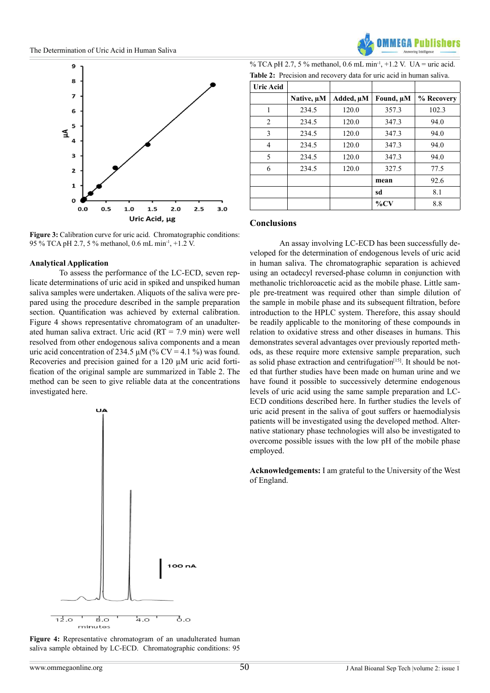





**Figure 3:** Calibration curve for uric acid. Chromatographic conditions: 95 % TCA pH 2.7, 5 % methanol, 0.6 mL min-1, +1.2 V.

## **Analytical Application**

To assess the performance of the LC-ECD, seven replicate determinations of uric acid in spiked and unspiked human saliva samples were undertaken. Aliquots of the saliva were prepared using the procedure described in the sample preparation section. Quantification was achieved by external calibration. Figure 4 shows representative chromatogram of an unadulterated human saliva extract. Uric acid  $(RT = 7.9 \text{ min})$  were well resolved from other endogenous saliva components and a mean uric acid concentration of 234.5  $\mu$ M (% CV = 4.1 %) was found. Recoveries and precision gained for a 120 µM uric acid fortification of the original sample are summarized in Table 2. The method can be seen to give reliable data at the concentrations investigated here.



**Figure 4:** Representative chromatogram of an unadulterated human saliva sample obtained by LC-ECD. Chromatographic conditions: 95

| % TCA pH 2.7, 5 % methanol, 0.6 mL min <sup>-1</sup> , +1.2 V. UA = uric acid. |  |
|--------------------------------------------------------------------------------|--|
| <b>Table 2:</b> Precision and recovery data for uric acid in human saliva.     |  |

| <b>Uric Acid</b> |            |           |           |            |
|------------------|------------|-----------|-----------|------------|
|                  | Native, µM | Added, µM | Found, µM | % Recovery |
| 1                | 234.5      | 120.0     | 357.3     | 102.3      |
| 2                | 234.5      | 120.0     | 347.3     | 94.0       |
| 3                | 234.5      | 120.0     | 347.3     | 94.0       |
| 4                | 234.5      | 120.0     | 347.3     | 94.0       |
| 5                | 234.5      | 120.0     | 347.3     | 94.0       |
| 6                | 234.5      | 120.0     | 327.5     | 77.5       |
|                  |            |           | mean      | 92.6       |
|                  |            |           | sd        | 8.1        |
|                  |            |           | $\%$ CV   | 8.8        |

### **Conclusions**

Ī

An assay involving LC-ECD has been successfully developed for the determination of endogenous levels of uric acid in human saliva. The chromatographic separation is achieved using an octadecyl reversed-phase column in conjunction with methanolic trichloroacetic acid as the mobile phase. Little sample pre-treatment was required other than simple dilution of the sample in mobile phase and its subsequent filtration, before introduction to the HPLC system. Therefore, this assay should be readily applicable to the monitoring of these compounds in relation to oxidative stress and other diseases in humans. This demonstrates several advantages over previously reported methods, as these require more extensive sample preparation, such as solid phase extraction and centrifugation $[15]$ . It should be noted that further studies have been made on human urine and we have found it possible to successively determine endogenous levels of uric acid using the same sample preparation and LC-ECD conditions described here. In further studies the levels of uric acid present in the saliva of gout suffers or haemodialysis patients will be investigated using the developed method. Alternative stationary phase technologies will also be investigated to overcome possible issues with the low pH of the mobile phase employed.

**Acknowledgements:** I am grateful to the University of the West of England.